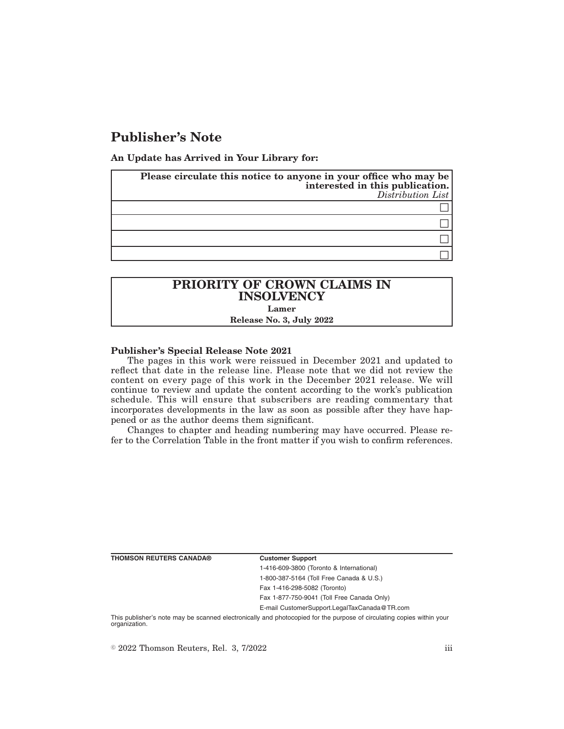# **Publisher's Note**

**An Update has Arrived in Your Library for:**

| Please circulate this notice to anyone in your office who may be<br>interested in this publication.<br>Distribution List |
|--------------------------------------------------------------------------------------------------------------------------|
|                                                                                                                          |
|                                                                                                                          |
|                                                                                                                          |
|                                                                                                                          |

## **PRIORITY OF CROWN CLAIMS IN INSOLVENCY Lamer Release No. 3, July 2022**

### **Publisher's Special Release Note 2021**

The pages in this work were reissued in December 2021 and updated to reflect that date in the release line. Please note that we did not review the content on every page of this work in the December 2021 release. We will continue to review and update the content according to the work's publication schedule. This will ensure that subscribers are reading commentary that incorporates developments in the law as soon as possible after they have happened or as the author deems them significant.

Changes to chapter and heading numbering may have occurred. Please refer to the Correlation Table in the front matter if you wish to confirm references.

**THOMSON REUTERS CANADA® Customer Support**

1-416-609-3800 (Toronto & International) 1-800-387-5164 (Toll Free Canada & U.S.)

Fax 1-416-298-5082 (Toronto) Fax 1-877-750-9041 (Toll Free Canada Only)

E-mail CustomerSupport.LegalTaxCanada@TR.com

This publisher's note may be scanned electronically and photocopied for the purpose of circulating copies within your organization.

 $\degree$  2022 Thomson Reuters, Rel. 3, 7/2022 iii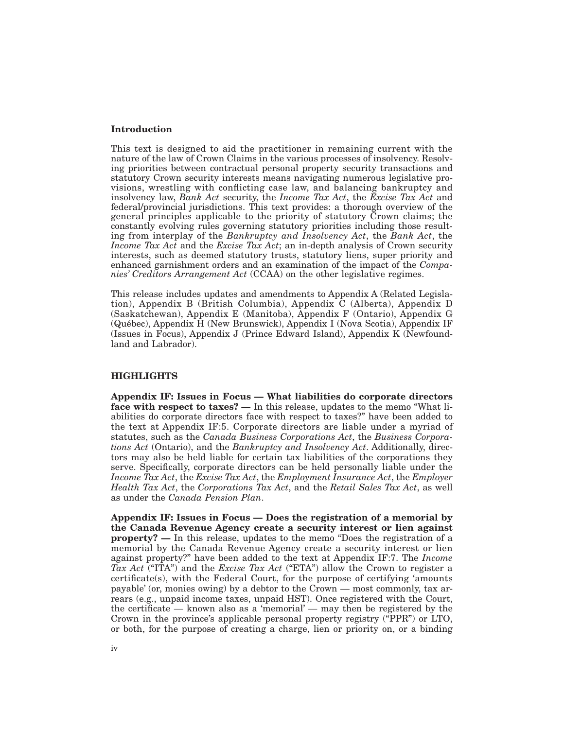### **Introduction**

This text is designed to aid the practitioner in remaining current with the nature of the law of Crown Claims in the various processes of insolvency. Resolving priorities between contractual personal property security transactions and statutory Crown security interests means navigating numerous legislative provisions, wrestling with conflicting case law, and balancing bankruptcy and insolvency law, *Bank Act* security, the *Income Tax Act*, the *Excise Tax Act* and federal/provincial jurisdictions. This text provides: a thorough overview of the general principles applicable to the priority of statutory Crown claims; the constantly evolving rules governing statutory priorities including those resulting from interplay of the *Bankruptcy and Insolvency Act*, the *Bank Act*, the *Income Tax Act* and the *Excise Tax Act*; an in-depth analysis of Crown security interests, such as deemed statutory trusts, statutory liens, super priority and enhanced garnishment orders and an examination of the impact of the *Companies' Creditors Arrangement Act* (CCAA) on the other legislative regimes.

This release includes updates and amendments to Appendix A (Related Legislation), Appendix B (British Columbia), Appendix C (Alberta), Appendix D (Saskatchewan), Appendix E (Manitoba), Appendix F (Ontario), Appendix G (Québec), Appendix H (New Brunswick), Appendix I (Nova Scotia), Appendix IF (Issues in Focus), Appendix J (Prince Edward Island), Appendix K (Newfoundland and Labrador).

### **HIGHLIGHTS**

**Appendix IF: Issues in Focus — What liabilities do corporate directors face with respect to taxes? —** In this release, updates to the memo "What liabilities do corporate directors face with respect to taxes?" have been added to the text at Appendix IF:5. Corporate directors are liable under a myriad of statutes, such as the *Canada Business Corporations Act*, the *Business Corporations Act* (Ontario), and the *Bankruptcy and Insolvency Act*. Additionally, directors may also be held liable for certain tax liabilities of the corporations they serve. Specifically, corporate directors can be held personally liable under the *Income Tax Act*, the *Excise Tax Act*, the *Employment Insurance Act*, the *Employer Health Tax Act*, the *Corporations Tax Act*, and the *Retail Sales Tax Act*, as well as under the *Canada Pension Plan*.

**Appendix IF: Issues in Focus — Does the registration of a memorial by the Canada Revenue Agency create a security interest or lien against property?** — In this release, updates to the memo "Does the registration of a memorial by the Canada Revenue Agency create a security interest or lien against property?" have been added to the text at Appendix IF:7. The *Income Tax Act* ("ITA") and the *Excise Tax Act* ("ETA") allow the Crown to register a certificate(s), with the Federal Court, for the purpose of certifying 'amounts payable' (or, monies owing) by a debtor to the Crown — most commonly, tax arrears (e.g., unpaid income taxes, unpaid HST). Once registered with the Court, the certificate — known also as a 'memorial' — may then be registered by the Crown in the province's applicable personal property registry ("PPR") or LTO, or both, for the purpose of creating a charge, lien or priority on, or a binding